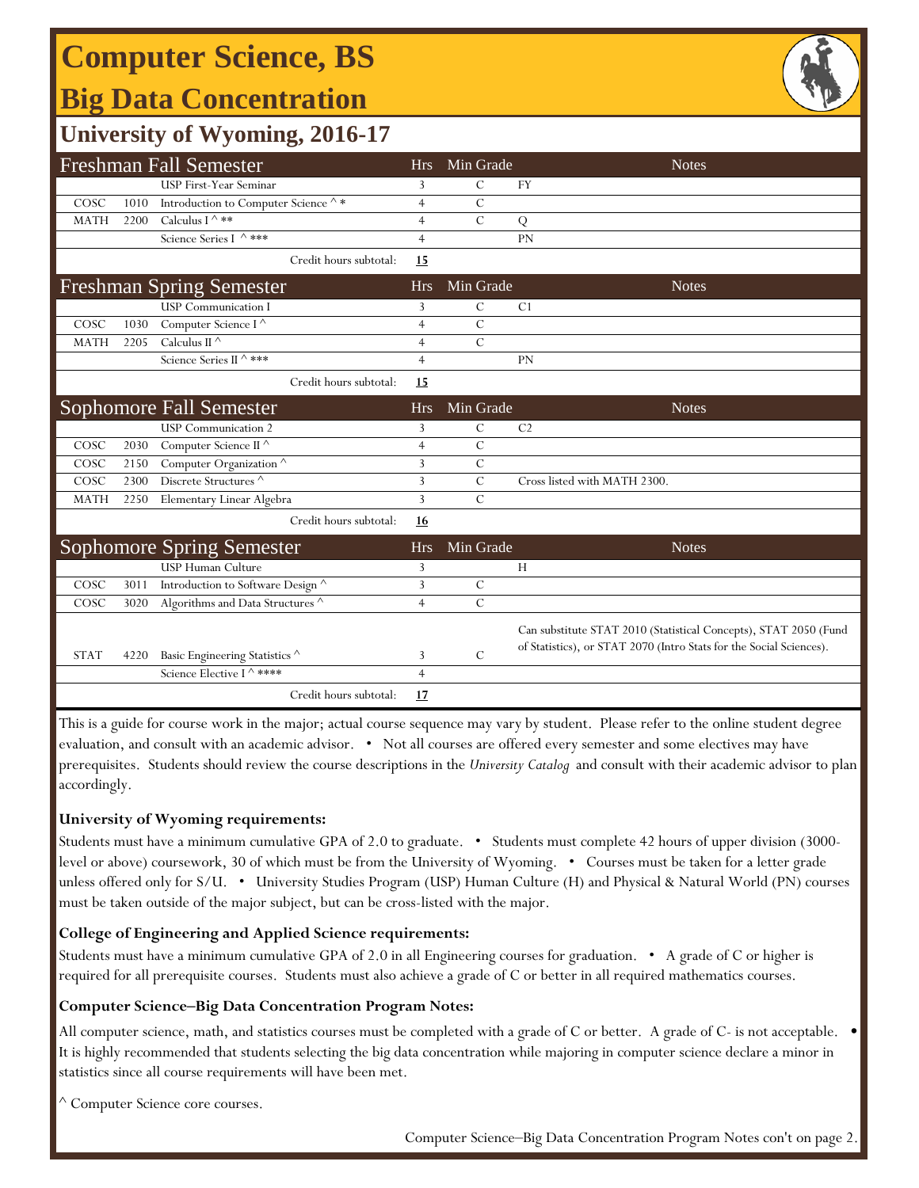# **Computer Science, BS**

## **Big Data Concentration**



## **University of Wyoming, 2016-17**

| <b>Freshman Fall Semester</b> |      |                                                          | <b>Hrs</b>     | Min Grade      | <b>Notes</b>                                                        |
|-------------------------------|------|----------------------------------------------------------|----------------|----------------|---------------------------------------------------------------------|
|                               |      | USP First-Year Seminar                                   | 3              | C              | <b>FY</b>                                                           |
| COSC                          | 1010 | Introduction to Computer Science $\mathord{\wedge} \, *$ | $\overline{4}$ | $\mathcal{C}$  |                                                                     |
| <b>MATH</b>                   | 2200 | Calculus I $\wedge$ **                                   | $\overline{4}$ | $\mathcal{C}$  | Q                                                                   |
|                               |      | Science Series I ^ ***                                   | $\overline{4}$ |                | <b>PN</b>                                                           |
|                               |      | Credit hours subtotal:                                   | 15             |                |                                                                     |
|                               |      | <b>Freshman Spring Semester</b>                          | <b>Hrs</b>     | Min Grade      | <b>Notes</b>                                                        |
|                               |      | <b>USP</b> Communication I                               | 3              | $\mathcal{C}$  | C <sub>1</sub>                                                      |
| COSC                          | 1030 | Computer Science $\overline{I^{\wedge}}$                 | $\overline{4}$ | $\overline{C}$ |                                                                     |
| <b>MATH</b>                   | 2205 | Calculus II $^\wedge$                                    | $\overline{4}$ | $\overline{C}$ |                                                                     |
|                               |      | Science Series II ^ ***                                  | $\overline{4}$ |                | PN                                                                  |
|                               |      | Credit hours subtotal:                                   | 15             |                |                                                                     |
|                               |      | <b>Sophomore Fall Semester</b>                           | <b>Hrs</b>     | Min Grade      | <b>Notes</b>                                                        |
|                               |      | <b>USP</b> Communication 2                               | 3              | С              | C <sub>2</sub>                                                      |
| COSC                          | 2030 | Computer Science $\overline{\mathbb{H}^{\wedge}}$        | $\overline{4}$ | $\mathcal{C}$  |                                                                     |
| COSC                          | 2150 | Computer Organization <sup>^</sup>                       | 3              | $\mathcal{C}$  |                                                                     |
| COSC                          | 2300 | Discrete Structures <sup>^</sup>                         | 3              | $\mathcal{C}$  | Cross listed with MATH 2300.                                        |
| <b>MATH</b>                   | 2250 | Elementary Linear Algebra                                | $\overline{3}$ | $\overline{C}$ |                                                                     |
|                               |      | Credit hours subtotal:                                   | 16             |                |                                                                     |
|                               |      | <b>Sophomore Spring Semester</b>                         | <b>Hrs</b>     | Min Grade      | <b>Notes</b>                                                        |
|                               |      | <b>USP Human Culture</b>                                 | 3              |                | H                                                                   |
| COSC                          | 3011 | Introduction to Software Design ^                        | 3              | $\mathcal{C}$  |                                                                     |
| COSC                          | 3020 | Algorithms and Data Structures ^                         | $\overline{4}$ | $\overline{C}$ |                                                                     |
|                               |      |                                                          |                |                | Can substitute STAT 2010 (Statistical Concepts), STAT 2050 (Fund    |
| <b>STAT</b>                   | 4220 | Basic Engineering Statistics ^                           | 3              | $\mathcal{C}$  | of Statistics), or STAT 2070 (Intro Stats for the Social Sciences). |
|                               |      | Science Elective I ^ ****                                | $\overline{4}$ |                |                                                                     |
|                               |      | Credit hours subtotal:                                   | 17             |                |                                                                     |

This is a guide for course work in the major; actual course sequence may vary by student. Please refer to the online student degree evaluation, and consult with an academic advisor. • Not all courses are offered every semester and some electives may have prerequisites. Students should review the course descriptions in the *University Catalog* and consult with their academic advisor to plan accordingly.

### **University of Wyoming requirements:**

Students must have a minimum cumulative GPA of 2.0 to graduate. • Students must complete 42 hours of upper division (3000 level or above) coursework, 30 of which must be from the University of Wyoming. • Courses must be taken for a letter grade unless offered only for S/U. • University Studies Program (USP) Human Culture (H) and Physical & Natural World (PN) courses must be taken outside of the major subject, but can be cross-listed with the major.

### **College of Engineering and Applied Science requirements:**

Students must have a minimum cumulative GPA of 2.0 in all Engineering courses for graduation. • A grade of C or higher is required for all prerequisite courses. Students must also achieve a grade of C or better in all required mathematics courses.

#### **Computer Science‒Big Data Concentration Program Notes:**

All computer science, math, and statistics courses must be completed with a grade of C or better. A grade of C- is not acceptable. • It is highly recommended that students selecting the big data concentration while majoring in computer science declare a minor in statistics since all course requirements will have been met.

^ Computer Science core courses.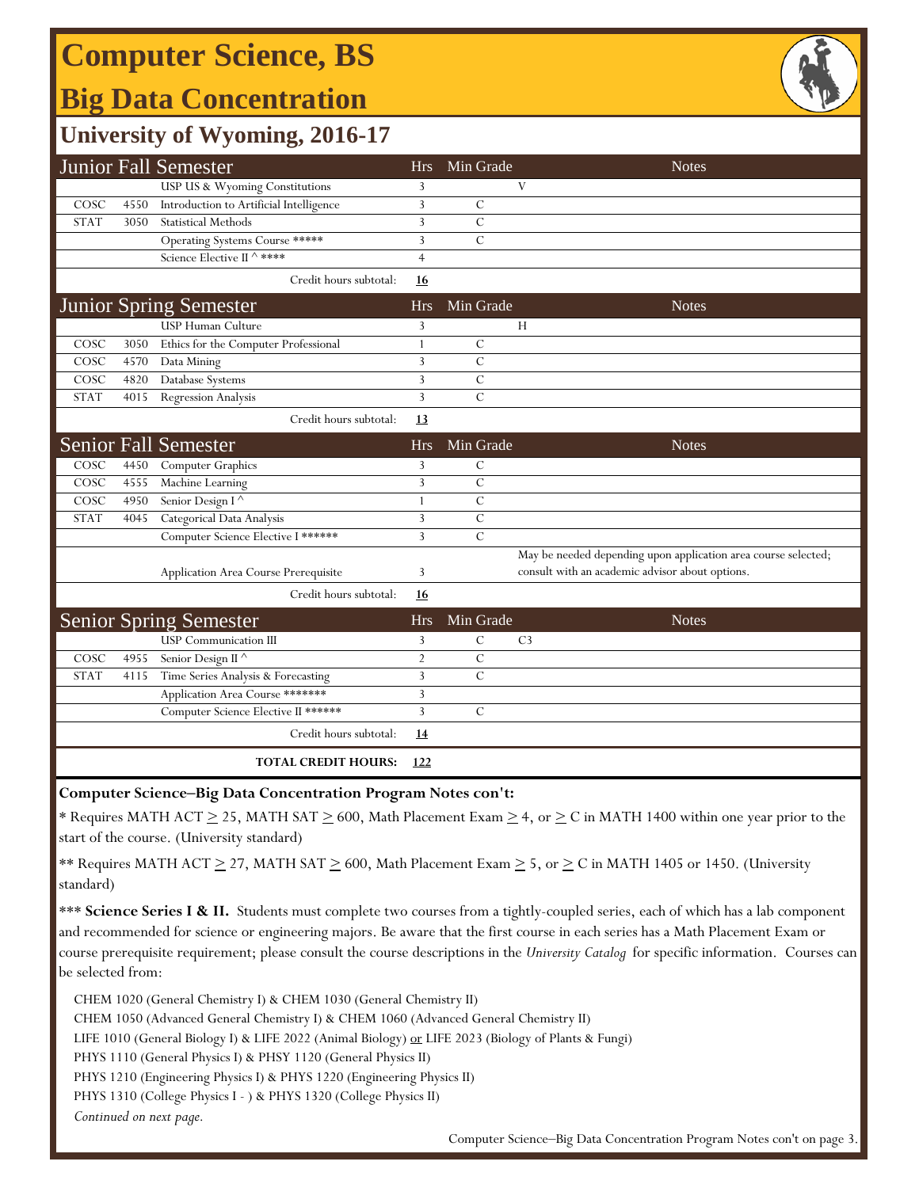# **Computer Science, BS**

## **Big Data Concentration**



## **University of Wyoming, 2016-17**

|             |      | Junior Fall Semester                                   | <b>Hrs</b>     | Min Grade      | <b>Notes</b>                                                   |
|-------------|------|--------------------------------------------------------|----------------|----------------|----------------------------------------------------------------|
|             |      | USP US & Wyoming Constitutions                         | 3              |                | V                                                              |
| COSC        | 4550 | Introduction to Artificial Intelligence                | 3              | $\mathcal{C}$  |                                                                |
| <b>STAT</b> | 3050 | <b>Statistical Methods</b>                             | 3              | $\mathcal{C}$  |                                                                |
|             |      | Operating Systems Course *****                         | 3              | $\overline{C}$ |                                                                |
|             |      | Science Elective II ^ ****                             | $\overline{4}$ |                |                                                                |
|             |      | Credit hours subtotal:                                 | <u>16</u>      |                |                                                                |
|             |      | <b>Junior Spring Semester</b>                          | <b>Hrs</b>     | Min Grade      | <b>Notes</b>                                                   |
|             |      | USP Human Culture                                      | 3              |                | Н                                                              |
| COSC        | 3050 | Ethics for the Computer Professional                   | $\mathbf{1}$   | $\mathcal{C}$  |                                                                |
| COSC        | 4570 | Data Mining                                            | 3              | $\mathcal{C}$  |                                                                |
| COSC        | 4820 | Database Systems                                       | 3              | $\mathcal{C}$  |                                                                |
| <b>STAT</b> | 4015 | Regression Analysis                                    | 3              | $\overline{C}$ |                                                                |
|             |      | Credit hours subtotal:                                 | 13             |                |                                                                |
|             |      | <b>Senior Fall Semester</b>                            | <b>Hrs</b>     | Min Grade      | <b>Notes</b>                                                   |
| COSC        | 4450 | Computer Graphics                                      | 3              | $\mathcal{C}$  |                                                                |
| COSC        | 4555 | Machine Learning                                       | 3              | $\overline{C}$ |                                                                |
| COSC        | 4950 | Senior Design $\overline{\mathfrak{l}^{\,\,\wedge\,}}$ | $\mathbf{1}$   | $\mathcal{C}$  |                                                                |
| <b>STAT</b> | 4045 | Categorical Data Analysis                              | 3              | $\mathcal{C}$  |                                                                |
|             |      | Computer Science Elective I ******                     | 3              | $\mathcal{C}$  |                                                                |
|             |      |                                                        |                |                | May be needed depending upon application area course selected; |
|             |      | Application Area Course Prerequisite                   | 3              |                | consult with an academic advisor about options.                |
|             |      | Credit hours subtotal:                                 | 16             |                |                                                                |
|             |      | <b>Senior Spring Semester</b>                          | <b>Hrs</b>     | Min Grade      | <b>Notes</b>                                                   |
|             |      | <b>USP</b> Communication III                           | 3              | $\mathcal{C}$  | C <sub>3</sub>                                                 |
| COSC        | 4955 | Senior Design II <sup>^</sup>                          | $\overline{2}$ | $\mathcal{C}$  |                                                                |
| <b>STAT</b> | 4115 | Time Series Analysis & Forecasting                     | 3              | $\overline{C}$ |                                                                |
|             |      | Application Area Course *******                        | 3              |                |                                                                |
|             |      | Computer Science Elective II ******                    | 3              | $\mathcal{C}$  |                                                                |
|             |      | Credit hours subtotal:                                 | <u>14</u>      |                |                                                                |
|             |      | <b>TOTAL CREDIT HOURS:</b>                             | 122            |                |                                                                |

#### **Computer Science‒Big Data Concentration Program Notes con't:**

\* Requires MATH ACT  $\geq$  25, MATH SAT  $\geq$  600, Math Placement Exam  $\geq$  4, or  $\geq$  C in MATH 1400 within one year prior to the start of the course. (University standard)

\*\* Requires MATH ACT  $\geq$  27, MATH SAT  $\geq$  600, Math Placement Exam  $\geq$  5, or  $\geq$  C in MATH 1405 or 1450. (University standard)

\*\*\* Science Series I & II. Students must complete two courses from a tightly-coupled series, each of which has a lab component and recommended for science or engineering majors. Be aware that the first course in each series has a Math Placement Exam or course prerequisite requirement; please consult the course descriptions in the *University Catalog* for specific information. Courses can be selected from:

*Continued on next page.* CHEM 1020 (General Chemistry I) & CHEM 1030 (General Chemistry II) CHEM 1050 (Advanced General Chemistry I) & CHEM 1060 (Advanced General Chemistry II) LIFE 1010 (General Biology I) & LIFE 2022 (Animal Biology) or LIFE 2023 (Biology of Plants & Fungi) PHYS 1110 (General Physics I) & PHSY 1120 (General Physics II) PHYS 1210 (Engineering Physics I) & PHYS 1220 (Engineering Physics II) PHYS 1310 (College Physics I - ) & PHYS 1320 (College Physics II)

Computer Science-Big Data Concentration Program Notes con't on page 3.